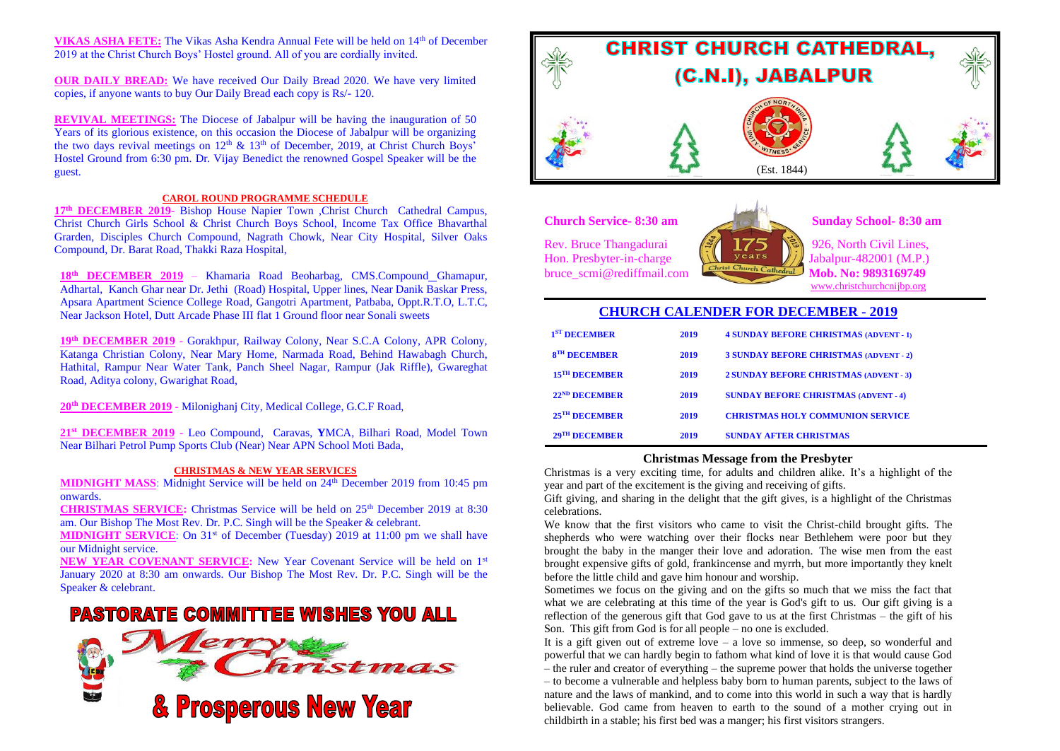**VIKAS ASHA FETE:** The Vikas Asha Kendra Annual Fete will be held on 14<sup>th</sup> of December 2019 at the Christ Church Boys' Hostel ground. All of you are cordially invited.

**OUR DAILY BREAD:** We have received Our Daily Bread 2020. We have very limited copies, if anyone wants to buy Our Daily Bread each copy is Rs/- 120.

**REVIVAL MEETINGS:** The Diocese of Jabalpur will be having the inauguration of 50 Years of its glorious existence, on this occasion the Diocese of Jabalpur will be organizing the two days revival meetings on  $12<sup>th</sup>$  &  $13<sup>th</sup>$  of December, 2019, at Christ Church Boys' Hostel Ground from 6:30 pm. Dr. Vijay Benedict the renowned Gospel Speaker will be the guest.

#### **CAROL ROUND PROGRAMME SCHEDULE**

**17th DECEMBER 2019**- Bishop House Napier Town ,Christ Church Cathedral Campus, Christ Church Girls School & Christ Church Boys School, Income Tax Office Bhavarthal Grarden, Disciples Church Compound, Nagrath Chowk, Near City Hospital, Silver Oaks Compound, Dr. Barat Road, Thakki Raza Hospital,

**18th DECEMBER 2019** – Khamaria Road Beoharbag, CMS.Compound Ghamapur, Adhartal, Kanch Ghar near Dr. Jethi (Road) Hospital, Upper lines, Near Danik Baskar Press, Apsara Apartment Science College Road, Gangotri Apartment, Patbaba, Oppt.R.T.O, L.T.C, Near Jackson Hotel, Dutt Arcade Phase III flat 1 Ground floor near Sonali sweets

**19th DECEMBER 2019** - Gorakhpur, Railway Colony, Near S.C.A Colony, APR Colony, Katanga Christian Colony, Near Mary Home, Narmada Road, Behind Hawabagh Church, Hathital, Rampur Near Water Tank, Panch Sheel Nagar, Rampur (Jak Riffle), Gwareghat Road, Aditya colony, Gwarighat Road,

**20th DECEMBER 2019** - Milonighanj City, Medical College, G.C.F Road,

**21st DECEMBER 2019** - Leo Compound, Caravas, **Y**MCA, Bilhari Road, Model Town Near Bilhari Petrol Pump Sports Club (Near) Near APN School Moti Bada,

#### **CHRISTMAS & NEW YEAR SERVICES**

**MIDNIGHT MASS**: Midnight Service will be held on 24<sup>th</sup> December 2019 from 10:45 pm onwards.

**CHRISTMAS SERVICE:** Christmas Service will be held on 25th December 2019 at 8:30 am. Our Bishop The Most Rev. Dr. P.C. Singh will be the Speaker & celebrant.

**MIDNIGHT SERVICE:** On 31<sup>st</sup> of December (Tuesday) 2019 at 11:00 pm we shall have our Midnight service.

**NEW YEAR COVENANT SERVICE:** New Year Covenant Service will be held on 1st January 2020 at 8:30 am onwards. Our Bishop The Most Rev. Dr. P.C. Singh will be the Speaker & celebrant.

# **PASTORATE COMMITTEE WISHES YOU ALL**





**Church Service- 8:30 am Sunday School- 8:30 am**

Rev. Bruce Thangadurai  $\begin{bmatrix} \frac{56}{3} & 175 \\ 1 & \frac{125}{3} \end{bmatrix}$  926, North Civil Lines,<br>Hon. Presbyter-in-charge Hon. Presbyter-in-charge July vears Jabalpur-482001 (M.P.)<br>bruce scmi@rediffmail.com bruce\_scmi@rediffmail.com



[www.christchurchcnijbp.org](http://www.christchurchcnijbp.org/)

# **CHURCH CALENDER FOR DECEMBER - 2019**

| 1 <sup>ST</sup> DECEMBER  | 2019 | <b>4 SUNDAY BEFORE CHRISTMAS (ADVENT - 1)</b> |
|---------------------------|------|-----------------------------------------------|
| 8 <sup>TH</sup> DECEMBER  | 2019 | <b>3 SUNDAY BEFORE CHRISTMAS (ADVENT - 2)</b> |
| 15 <sup>TH</sup> DECEMBER | 2019 | <b>2 SUNDAY BEFORE CHRISTMAS (ADVENT - 3)</b> |
| 22 <sup>ND</sup> DECEMBER | 2019 | <b>SUNDAY BEFORE CHRISTMAS (ADVENT - 4)</b>   |
| 25 <sup>TH</sup> DECEMBER | 2019 | <b>CHRISTMAS HOLY COMMUNION SERVICE</b>       |
| 29 <sup>TH</sup> DECEMBER | 2019 | <b>SUNDAY AFTER CHRISTMAS</b>                 |

## **Christmas Message from the Presbyter**

Christmas is a very exciting time, for adults and children alike. It's a highlight of the year and part of the excitement is the giving and receiving of gifts.

Gift giving, and sharing in the delight that the gift gives, is a highlight of the Christmas celebrations.

We know that the first visitors who came to visit the Christ-child brought gifts. The shepherds who were watching over their flocks near Bethlehem were poor but they brought the baby in the manger their love and adoration. The wise men from the east brought expensive gifts of gold, frankincense and myrrh, but more importantly they knelt before the little child and gave him honour and worship.

Sometimes we focus on the giving and on the gifts so much that we miss the fact that what we are celebrating at this time of the year is God's gift to us. Our gift giving is a reflection of the generous gift that God gave to us at the first Christmas – the gift of his Son. This gift from God is for all people – no one is excluded.

It is a gift given out of extreme love – a love so immense, so deep, so wonderful and powerful that we can hardly begin to fathom what kind of love it is that would cause God – the ruler and creator of everything – the supreme power that holds the universe together – to become a vulnerable and helpless baby born to human parents, subject to the laws of nature and the laws of mankind, and to come into this world in such a way that is hardly believable. God came from heaven to earth to the sound of a mother crying out in childbirth in a stable; his first bed was a manger; his first visitors strangers.